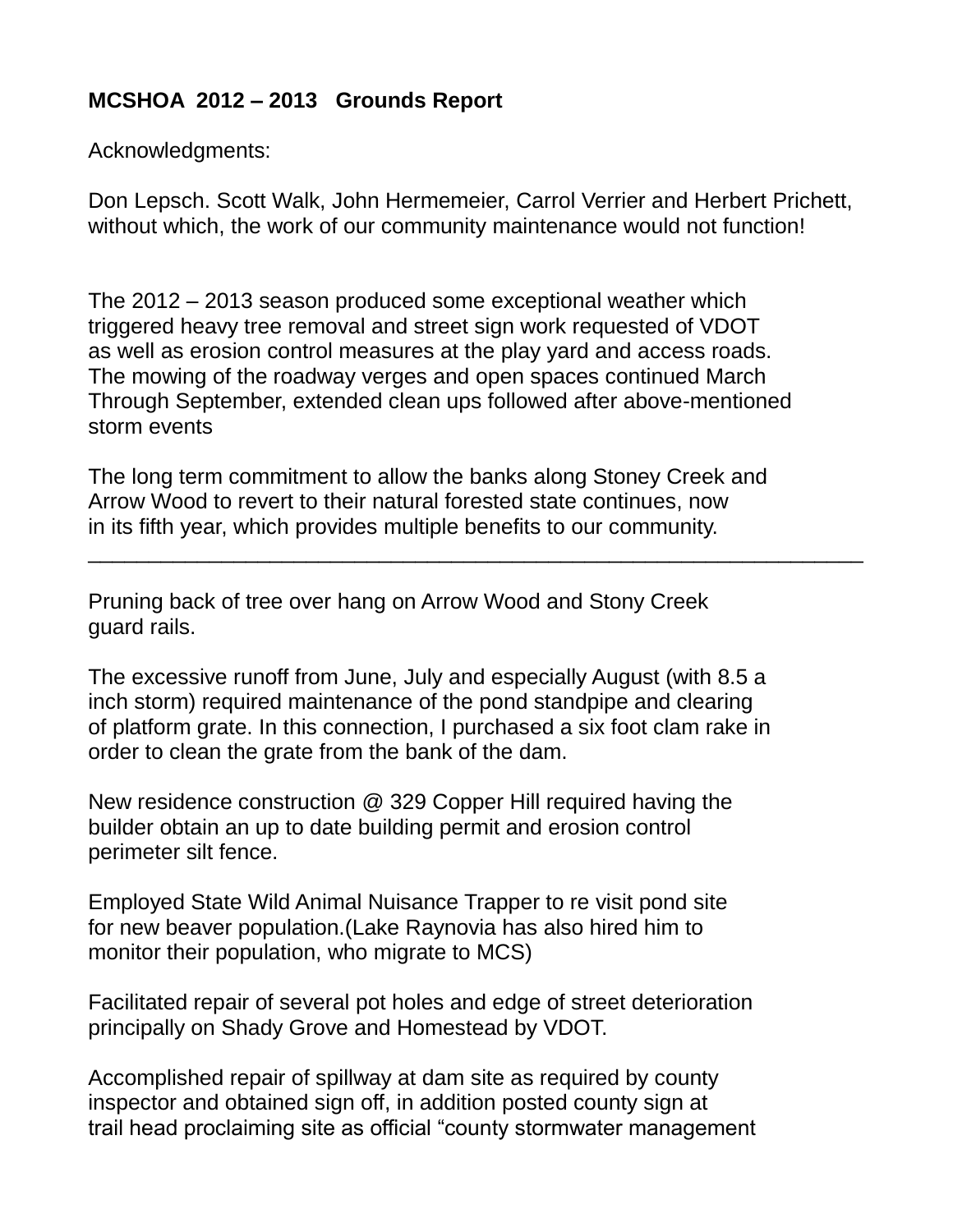## **MCSHOA 2012 – 2013 Grounds Report**

Acknowledgments:

Don Lepsch. Scott Walk, John Hermemeier, Carrol Verrier and Herbert Prichett, without which, the work of our community maintenance would not function!

The 2012 – 2013 season produced some exceptional weather which triggered heavy tree removal and street sign work requested of VDOT as well as erosion control measures at the play yard and access roads. The mowing of the roadway verges and open spaces continued March Through September, extended clean ups followed after above-mentioned storm events

The long term commitment to allow the banks along Stoney Creek and Arrow Wood to revert to their natural forested state continues, now in its fifth year, which provides multiple benefits to our community.

\_\_\_\_\_\_\_\_\_\_\_\_\_\_\_\_\_\_\_\_\_\_\_\_\_\_\_\_\_\_\_\_\_\_\_\_\_\_\_\_\_\_\_\_\_\_\_\_\_\_\_\_\_\_\_\_\_\_\_\_\_\_\_\_

Pruning back of tree over hang on Arrow Wood and Stony Creek guard rails.

The excessive runoff from June, July and especially August (with 8.5 a inch storm) required maintenance of the pond standpipe and clearing of platform grate. In this connection, I purchased a six foot clam rake in order to clean the grate from the bank of the dam.

New residence construction @ 329 Copper Hill required having the builder obtain an up to date building permit and erosion control perimeter silt fence.

Employed State Wild Animal Nuisance Trapper to re visit pond site for new beaver population.(Lake Raynovia has also hired him to monitor their population, who migrate to MCS)

Facilitated repair of several pot holes and edge of street deterioration principally on Shady Grove and Homestead by VDOT.

Accomplished repair of spillway at dam site as required by county inspector and obtained sign off, in addition posted county sign at trail head proclaiming site as official "county stormwater management